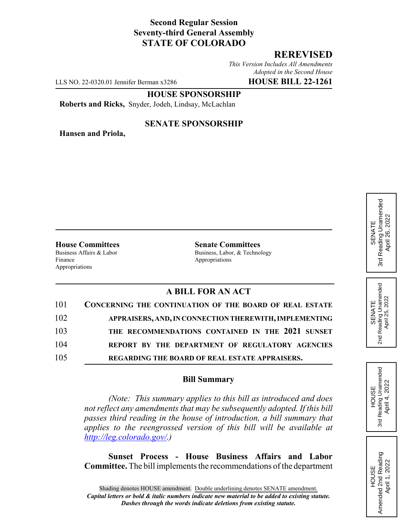## **Second Regular Session Seventy-third General Assembly STATE OF COLORADO**

## **REREVISED**

*This Version Includes All Amendments Adopted in the Second House*

LLS NO. 22-0320.01 Jennifer Berman x3286 **HOUSE BILL 22-1261**

#### **HOUSE SPONSORSHIP**

**Roberts and Ricks,** Snyder, Jodeh, Lindsay, McLachlan

**Hansen and Priola,**

### **SENATE SPONSORSHIP**

Finance Appropriations Appropriations

**House Committees**<br>Business Affairs & Labor<br>Business, Labor. & Techno Business, Labor, & Technology

# **A BILL FOR AN ACT**

| 101 | CONCERNING THE CONTINUATION OF THE BOARD OF REAL ESTATE |
|-----|---------------------------------------------------------|
| 102 | APPRAISERS, AND, IN CONNECTION THEREWITH, IMPLEMENTING  |
| 103 | THE RECOMMENDATIONS CONTAINED IN THE 2021 SUNSET        |
| 104 | REPORT BY THE DEPARTMENT OF REGULATORY AGENCIES         |
| 105 | REGARDING THE BOARD OF REAL ESTATE APPRAISERS.          |

## **Bill Summary**

*(Note: This summary applies to this bill as introduced and does not reflect any amendments that may be subsequently adopted. If this bill passes third reading in the house of introduction, a bill summary that applies to the reengrossed version of this bill will be available at http://leg.colorado.gov/.)*

**Sunset Process - House Business Affairs and Labor Committee.** The bill implements the recommendations of the department

Reading Unamended 3rd Reading Unamended April 26, 2022 April 26, 2022 SENATE 3rd



SENATE 2nd Reading Unamended April 25, 2022

Reading Unamended<br>April 25, 2022

2<sub>nd</sub>

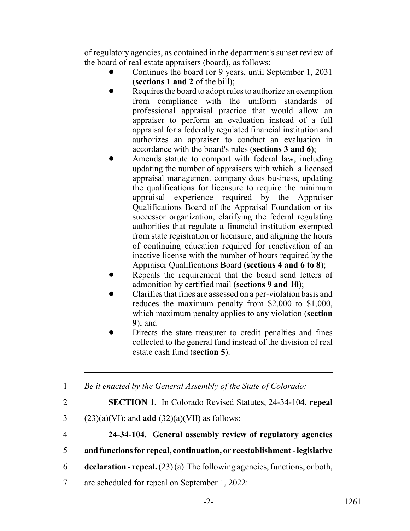of regulatory agencies, as contained in the department's sunset review of the board of real estate appraisers (board), as follows:

- ! Continues the board for 9 years, until September 1, 2031 (**sections 1 and 2** of the bill);
- Requires the board to adopt rules to authorize an exemption from compliance with the uniform standards of professional appraisal practice that would allow an appraiser to perform an evaluation instead of a full appraisal for a federally regulated financial institution and authorizes an appraiser to conduct an evaluation in accordance with the board's rules (**sections 3 and 6**);
- Amends statute to comport with federal law, including updating the number of appraisers with which a licensed appraisal management company does business, updating the qualifications for licensure to require the minimum appraisal experience required by the Appraiser Qualifications Board of the Appraisal Foundation or its successor organization, clarifying the federal regulating authorities that regulate a financial institution exempted from state registration or licensure, and aligning the hours of continuing education required for reactivation of an inactive license with the number of hours required by the Appraiser Qualifications Board (**sections 4 and 6 to 8**);
- Repeals the requirement that the board send letters of admonition by certified mail (**sections 9 and 10**);
- ! Clarifies that fines are assessed on a per-violation basis and reduces the maximum penalty from \$2,000 to \$1,000, which maximum penalty applies to any violation (**section 9**); and
- Directs the state treasurer to credit penalties and fines collected to the general fund instead of the division of real estate cash fund (**section 5**).

1 *Be it enacted by the General Assembly of the State of Colorado:*

2 **SECTION 1.** In Colorado Revised Statutes, 24-34-104, **repeal**

- 3 (23)(a)(VI); and **add** (32)(a)(VII) as follows:
- 4 **24-34-104. General assembly review of regulatory agencies**
- 5 **and functions for repeal, continuation, or reestablishment legislative**
- 6 **declaration repeal.** (23) (a) The following agencies, functions, or both,
- 7 are scheduled for repeal on September 1, 2022: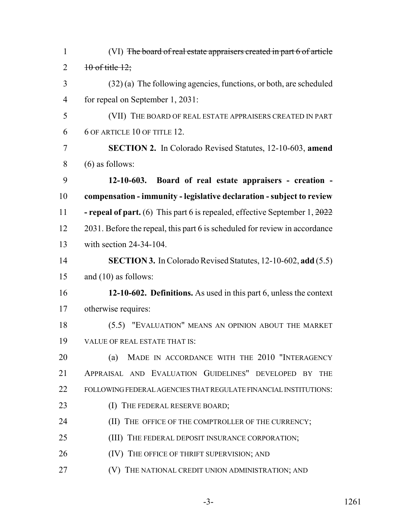| $\mathbf{1}$   | (VI) The board of real estate appraisers created in part 6 of article                         |
|----------------|-----------------------------------------------------------------------------------------------|
| $\overline{2}$ | $10$ of title $12$ ;                                                                          |
| $\overline{3}$ | $(32)$ (a) The following agencies, functions, or both, are scheduled                          |
| $\overline{4}$ | for repeal on September 1, 2031:                                                              |
| 5              | (VII) THE BOARD OF REAL ESTATE APPRAISERS CREATED IN PART                                     |
| 6              | 6 OF ARTICLE 10 OF TITLE 12.                                                                  |
| $\overline{7}$ | <b>SECTION 2.</b> In Colorado Revised Statutes, 12-10-603, amend                              |
| 8              | $(6)$ as follows:                                                                             |
| 9              | 12-10-603. Board of real estate appraisers - creation -                                       |
| 10             | compensation - immunity - legislative declaration - subject to review                         |
| 11             | <b>- repeal of part.</b> (6) This part 6 is repealed, effective September $1, \frac{2022}{2}$ |
| 12             | 2031. Before the repeal, this part 6 is scheduled for review in accordance                    |
| 13             | with section $24-34-104$ .                                                                    |
| 14             | <b>SECTION 3.</b> In Colorado Revised Statutes, 12-10-602, add (5.5)                          |
| 15             | and $(10)$ as follows:                                                                        |
| 16             | 12-10-602. Definitions. As used in this part 6, unless the context                            |
| 17             | otherwise requires:                                                                           |
| 18             | (5.5) "EVALUATION" MEANS AN OPINION ABOUT THE MARKET                                          |
| 19             | VALUE OF REAL ESTATE THAT IS:                                                                 |
| 20             | MADE IN ACCORDANCE WITH THE 2010 "INTERAGENCY<br>(a)                                          |
| 21             | APPRAISAL AND EVALUATION GUIDELINES" DEVELOPED BY THE                                         |
| 22             | FOLLOWING FEDERAL AGENCIES THAT REGULATE FINANCIAL INSTITUTIONS:                              |
| 23             | (I) THE FEDERAL RESERVE BOARD;                                                                |
| 24             | (II) THE OFFICE OF THE COMPTROLLER OF THE CURRENCY;                                           |
| 25             | (III) THE FEDERAL DEPOSIT INSURANCE CORPORATION;                                              |
| 26             | (IV) THE OFFICE OF THRIFT SUPERVISION; AND                                                    |
| 27             | (V) THE NATIONAL CREDIT UNION ADMINISTRATION; AND                                             |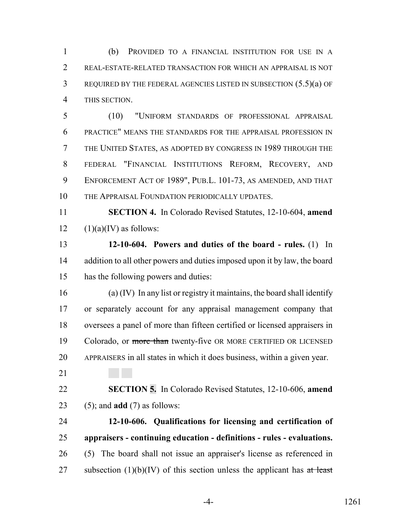(b) PROVIDED TO A FINANCIAL INSTITUTION FOR USE IN A REAL-ESTATE-RELATED TRANSACTION FOR WHICH AN APPRAISAL IS NOT REQUIRED BY THE FEDERAL AGENCIES LISTED IN SUBSECTION (5.5)(a) OF THIS SECTION.

 (10) "UNIFORM STANDARDS OF PROFESSIONAL APPRAISAL PRACTICE" MEANS THE STANDARDS FOR THE APPRAISAL PROFESSION IN THE UNITED STATES, AS ADOPTED BY CONGRESS IN 1989 THROUGH THE FEDERAL "FINANCIAL INSTITUTIONS REFORM, RECOVERY, AND ENFORCEMENT ACT OF 1989", PUB.L. 101-73, AS AMENDED, AND THAT THE APPRAISAL FOUNDATION PERIODICALLY UPDATES.

 **SECTION 4.** In Colorado Revised Statutes, 12-10-604, **amend** 12  $(1)(a)(IV)$  as follows:

 **12-10-604. Powers and duties of the board - rules.** (1) In 14 addition to all other powers and duties imposed upon it by law, the board has the following powers and duties:

 (a) (IV) In any list or registry it maintains, the board shall identify or separately account for any appraisal management company that oversees a panel of more than fifteen certified or licensed appraisers in 19 Colorado, or more than twenty-five OR MORE CERTIFIED OR LICENSED APPRAISERS in all states in which it does business, within a given year.

 **SECTION 5.** In Colorado Revised Statutes, 12-10-606, **amend** (5); and **add** (7) as follows:

 **12-10-606. Qualifications for licensing and certification of appraisers - continuing education - definitions - rules - evaluations.** (5) The board shall not issue an appraiser's license as referenced in 27 subsection  $(1)(b)(IV)$  of this section unless the applicant has at least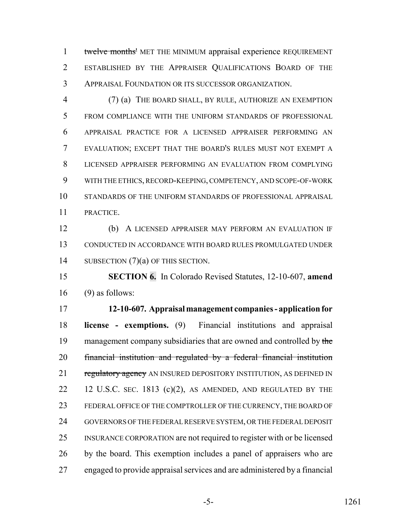1 twelve months' MET THE MINIMUM appraisal experience REQUIREMENT ESTABLISHED BY THE APPRAISER QUALIFICATIONS BOARD OF THE APPRAISAL FOUNDATION OR ITS SUCCESSOR ORGANIZATION.

 (7) (a) THE BOARD SHALL, BY RULE, AUTHORIZE AN EXEMPTION FROM COMPLIANCE WITH THE UNIFORM STANDARDS OF PROFESSIONAL APPRAISAL PRACTICE FOR A LICENSED APPRAISER PERFORMING AN EVALUATION; EXCEPT THAT THE BOARD'S RULES MUST NOT EXEMPT A LICENSED APPRAISER PERFORMING AN EVALUATION FROM COMPLYING WITH THE ETHICS, RECORD-KEEPING, COMPETENCY, AND SCOPE-OF-WORK STANDARDS OF THE UNIFORM STANDARDS OF PROFESSIONAL APPRAISAL PRACTICE.

 (b) A LICENSED APPRAISER MAY PERFORM AN EVALUATION IF CONDUCTED IN ACCORDANCE WITH BOARD RULES PROMULGATED UNDER 14 SUBSECTION (7)(a) OF THIS SECTION.

 **SECTION 6.** In Colorado Revised Statutes, 12-10-607, **amend** (9) as follows:

 **12-10-607. Appraisal management companies - application for license - exemptions.** (9) Financial institutions and appraisal 19 management company subsidiaries that are owned and controlled by the financial institution and regulated by a federal financial institution 21 regulatory agency AN INSURED DEPOSITORY INSTITUTION, AS DEFINED IN 22 12 U.S.C. SEC. 1813 (c)(2), AS AMENDED, AND REGULATED BY THE FEDERAL OFFICE OF THE COMPTROLLER OF THE CURRENCY, THE BOARD OF GOVERNORS OF THE FEDERAL RESERVE SYSTEM, OR THE FEDERAL DEPOSIT INSURANCE CORPORATION are not required to register with or be licensed by the board. This exemption includes a panel of appraisers who are engaged to provide appraisal services and are administered by a financial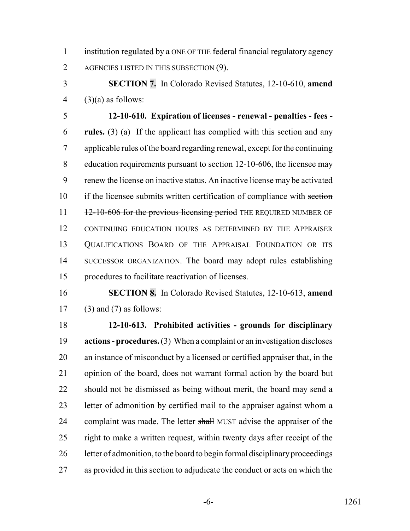1 institution regulated by  $\alpha$  ONE OF THE federal financial regulatory  $\alpha$  geney 2 AGENCIES LISTED IN THIS SUBSECTION (9).

 **SECTION 7.** In Colorado Revised Statutes, 12-10-610, **amend** 4  $(3)(a)$  as follows:

 **12-10-610. Expiration of licenses - renewal - penalties - fees - rules.** (3) (a) If the applicant has complied with this section and any applicable rules of the board regarding renewal, except for the continuing 8 education requirements pursuant to section 12-10-606, the licensee may renew the license on inactive status. An inactive license may be activated 10 if the licensee submits written certification of compliance with section  $11 - 12-10-606$  for the previous licensing period THE REQUIRED NUMBER OF CONTINUING EDUCATION HOURS AS DETERMINED BY THE APPRAISER QUALIFICATIONS BOARD OF THE APPRAISAL FOUNDATION OR ITS SUCCESSOR ORGANIZATION. The board may adopt rules establishing procedures to facilitate reactivation of licenses.

 **SECTION 8.** In Colorado Revised Statutes, 12-10-613, **amend** (3) and (7) as follows:

 **12-10-613. Prohibited activities - grounds for disciplinary actions - procedures.** (3) When a complaint or an investigation discloses an instance of misconduct by a licensed or certified appraiser that, in the opinion of the board, does not warrant formal action by the board but should not be dismissed as being without merit, the board may send a 23 letter of admonition by certified mail to the appraiser against whom a 24 complaint was made. The letter shall MUST advise the appraiser of the 25 right to make a written request, within twenty days after receipt of the letter of admonition, to the board to begin formal disciplinary proceedings as provided in this section to adjudicate the conduct or acts on which the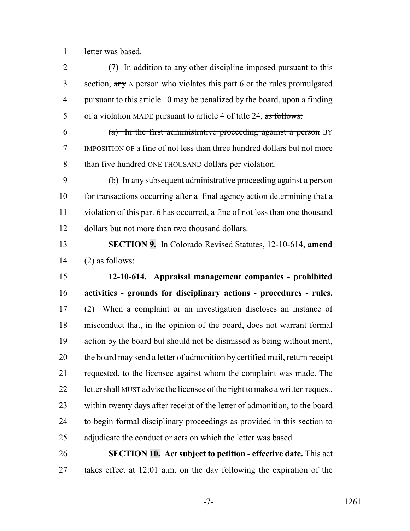letter was based.

 (7) In addition to any other discipline imposed pursuant to this 3 section, any A person who violates this part 6 or the rules promulgated pursuant to this article 10 may be penalized by the board, upon a finding 5 of a violation MADE pursuant to article 4 of title 24, as follows:

 (a) In the first administrative proceeding against a person BY 7 IMPOSITION OF a fine of not less than three hundred dollars but not more 8 than five hundred ONE THOUSAND dollars per violation.

 (b) In any subsequent administrative proceeding against a person 10 for transactions occurring after a final agency action determining that a 11 violation of this part 6 has occurred, a fine of not less than one thousand dollars but not more than two thousand dollars.

 **SECTION 9.** In Colorado Revised Statutes, 12-10-614, **amend** (2) as follows:

 **12-10-614. Appraisal management companies - prohibited activities - grounds for disciplinary actions - procedures - rules.** (2) When a complaint or an investigation discloses an instance of misconduct that, in the opinion of the board, does not warrant formal action by the board but should not be dismissed as being without merit, 20 the board may send a letter of admonition by certified mail, return receipt 21 requested, to the licensee against whom the complaint was made. The 22 letter shall MUST advise the licensee of the right to make a written request, within twenty days after receipt of the letter of admonition, to the board to begin formal disciplinary proceedings as provided in this section to adjudicate the conduct or acts on which the letter was based.

 **SECTION 10. Act subject to petition - effective date.** This act takes effect at 12:01 a.m. on the day following the expiration of the